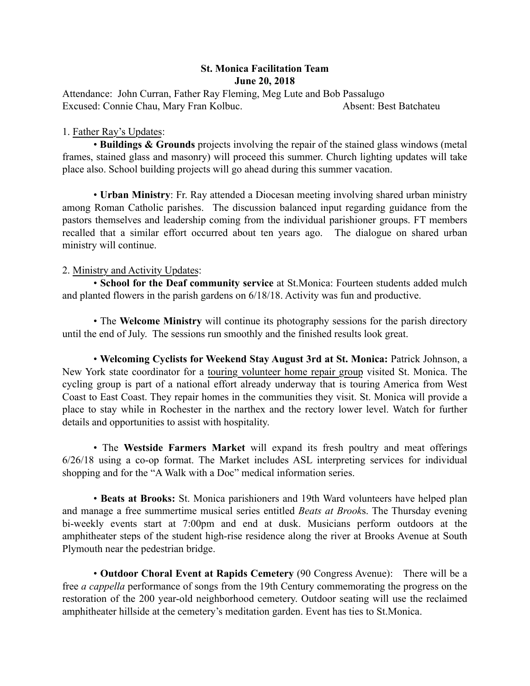## St. Monica Facilitation Team June 20, 2018

Attendance: John Curran, Father Ray Fleming, Meg Lute and Bob Passalugo Excused: Connie Chau, Mary Fran Kolbuc. Absent: Best Batchateu

## 1. Father Ray's Updates:

• Buildings & Grounds projects involving the repair of the stained glass windows (metal frames, stained glass and masonry) will proceed this summer. Church lighting updates will take place also. School building projects will go ahead during this summer vacation.

• Urban Ministry: Fr. Ray attended a Diocesan meeting involving shared urban ministry among Roman Catholic parishes. The discussion balanced input regarding guidance from the pastors themselves and leadership coming from the individual parishioner groups. FT members recalled that a similar effort occurred about ten years ago. The dialogue on shared urban ministry will continue.

## 2. Ministry and Activity Updates:

• School for the Deaf community service at St.Monica: Fourteen students added mulch and planted flowers in the parish gardens on 6/18/18. Activity was fun and productive.

• The Welcome Ministry will continue its photography sessions for the parish directory until the end of July. The sessions run smoothly and the finished results look great.

• Welcoming Cyclists for Weekend Stay August 3rd at St. Monica: Patrick Johnson, a New York state coordinator for a touring volunteer home repair group visited St. Monica. The cycling group is part of a national effort already underway that is touring America from West Coast to East Coast. They repair homes in the communities they visit. St. Monica will provide a place to stay while in Rochester in the narthex and the rectory lower level. Watch for further details and opportunities to assist with hospitality.

• The Westside Farmers Market will expand its fresh poultry and meat offerings 6/26/18 using a co-op format. The Market includes ASL interpreting services for individual shopping and for the "A Walk with a Doc" medical information series.

• Beats at Brooks: St. Monica parishioners and 19th Ward volunteers have helped plan and manage a free summertime musical series entitled *Beats at Brook*s. The Thursday evening bi-weekly events start at 7:00pm and end at dusk. Musicians perform outdoors at the amphitheater steps of the student high-rise residence along the river at Brooks Avenue at South Plymouth near the pedestrian bridge.

• Outdoor Choral Event at Rapids Cemetery (90 Congress Avenue): There will be a free *a cappella* performance of songs from the 19th Century commemorating the progress on the restoration of the 200 year-old neighborhood cemetery. Outdoor seating will use the reclaimed amphitheater hillside at the cemetery's meditation garden. Event has ties to St.Monica.